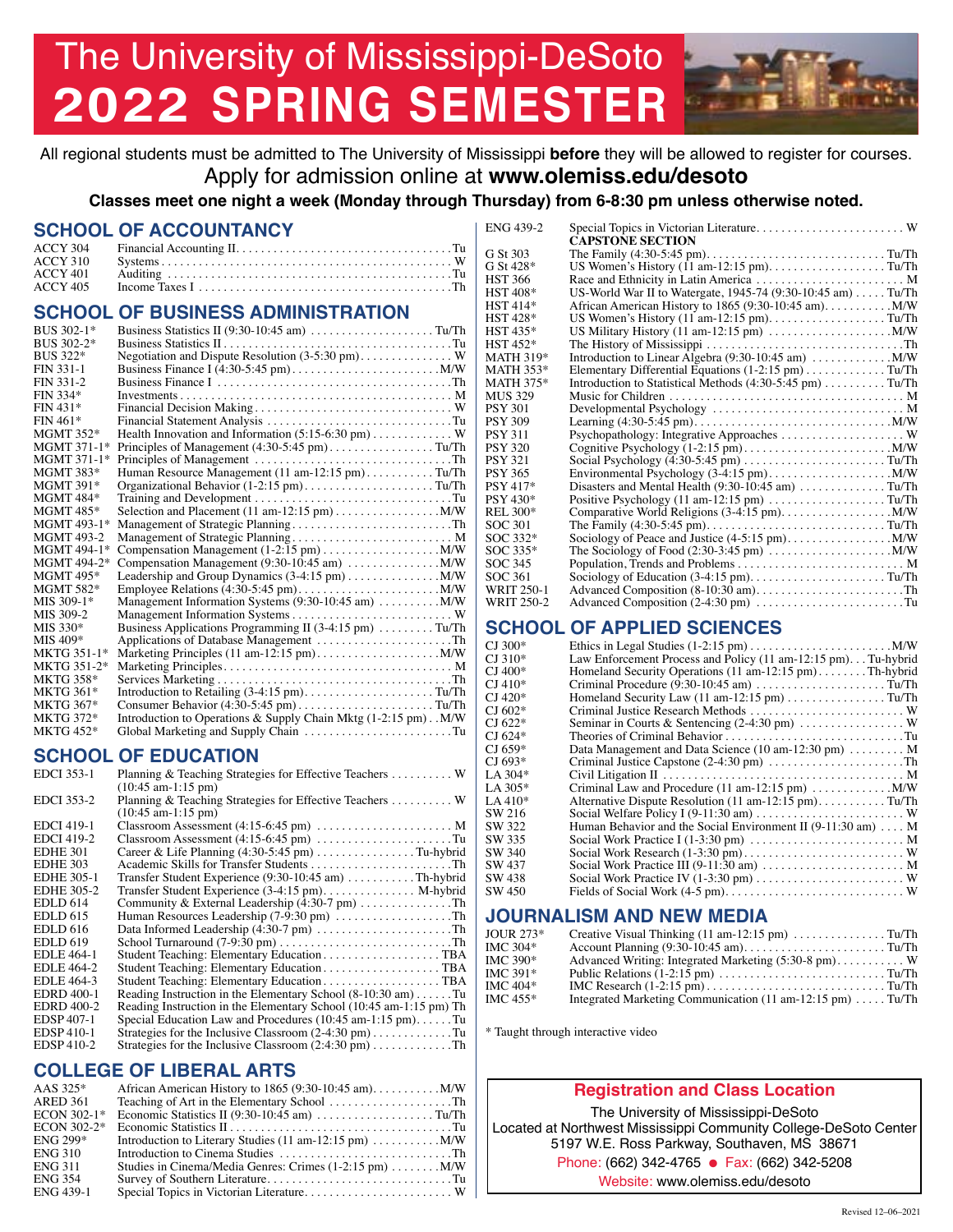# The University of Mississippi-DeSoto **2022 SPRING SEMESTER**

All regional students must be admitted to The University of Mississippi **before** they will be allowed to register for courses. Apply for admission online at **<www.olemiss.edu/desoto>**

**Classes meet one night a week (Monday through Thursday) from 6-8:30 pm unless otherwise noted.** 

#### **SCHOOL OF ACCOUNTANCY**

| ACCY 310 |  |
|----------|--|
|          |  |
| ACCY 405 |  |

#### **SCHOOL OF BUSINESS ADMINISTRATION**

| BUS 302-1*        |                                                                                       |
|-------------------|---------------------------------------------------------------------------------------|
| BUS 302-2*        |                                                                                       |
| BUS 322*          | Negotiation and Dispute Resolution (3-5:30 pm) W                                      |
| FIN 331-1         |                                                                                       |
| FIN 331-2         |                                                                                       |
| FIN 334*          |                                                                                       |
| $FIN 431*$        |                                                                                       |
| $FIN 461*$        | Financial Statement Analysis Tu                                                       |
| <b>MGMT 352*</b>  | Health Innovation and Information $(5:15-6:30 \text{ pm})$ W                          |
| MGMT 371-1*       | Principles of Management $(4:30-5:45 \text{ pm})$ Tu/Th                               |
| MGMT 371-1*       |                                                                                       |
| <b>MGMT 383*</b>  | Human Resource Management (11 am-12:15 pm)Tu/Th                                       |
| <b>MGMT 391*</b>  | Organizational Behavior $(1-2:15 \text{ pm})$ Tu/Th                                   |
| <b>MGMT 484*</b>  |                                                                                       |
| <b>MGMT 485*</b>  |                                                                                       |
| MGMT 493-1*       | Management of Strategic PlanningTh                                                    |
| <b>MGMT 493-2</b> | Management of Strategic Planning M                                                    |
| MGMT 494-1*       |                                                                                       |
| MGMT 494-2*       | Compensation Management $(9:30-10:45 \text{ am}) \dots \dots \dots \dots \dots$ M/W   |
| <b>MGMT 495*</b>  | Leadership and Group Dynamics $(3-4:15 \text{ pm}) \dots \dots \dots \dots \dots$ M/W |
| <b>MGMT 582*</b>  |                                                                                       |
| MIS 309-1*        | Management Information Systems (9:30-10:45 am)  M/W                                   |
| MIS 309-2         |                                                                                       |
| $MIS 330*$        | Business Applications Programming II (3-4:15 pm) Tu/Th                                |
| MIS 409*          | Applications of Database Management Th                                                |
| MKTG 351-1*       |                                                                                       |
| MKTG 351-2*       |                                                                                       |
| <b>MKTG 358*</b>  |                                                                                       |
| <b>MKTG 361*</b>  | Introduction to Retailing (3-4:15 pm)Tu/Th                                            |
| <b>MKTG 367*</b>  | Consumer Behavior $(4:30-5:45 \text{ pm})$ Tu/Th                                      |
| <b>MKTG 372*</b>  | Introduction to Operations & Supply Chain Mktg (1-2:15 pm). M/W                       |
| <b>MKTG 452*</b>  | Global Marketing and Supply Chain Tu                                                  |

#### **SCHOOL OF EDUCATION**

| <b>EDCI</b> 353-1 | Planning & Teaching Strategies for Effective Teachers  W<br>$(10:45$ am-1:15 pm) |
|-------------------|----------------------------------------------------------------------------------|
| <b>EDCI</b> 353-2 | Planning & Teaching Strategies for Effective Teachers  W<br>$(10:45$ am-1:15 pm) |
| <b>EDCI 419-1</b> | Classroom Assessment (4:15-6:45 pm)  M                                           |
| <b>EDCI</b> 419-2 |                                                                                  |
| <b>EDHE 301</b>   | Career & Life Planning $(4:30-5:45 \text{ pm})$ Tu-hybrid                        |
| <b>EDHE 303</b>   |                                                                                  |
| <b>EDHE 305-1</b> | Transfer Student Experience (9:30-10:45 am) Th-hybrid                            |
| <b>EDHE 305-2</b> | Transfer Student Experience (3-4:15 pm). M-hybrid                                |
| <b>EDLD</b> 614   | Community & External Leadership (4:30-7 pm) Th                                   |
| <b>EDLD 615</b>   | Human Resources Leadership (7-9:30 pm) Th                                        |
| <b>EDLD</b> 616   | Data Informed Leadership (4:30-7 pm) Th                                          |
| <b>EDLD 619</b>   |                                                                                  |
| <b>EDLE</b> 464-1 | Student Teaching: Elementary EducationTBA                                        |
| EDLE 464-2        |                                                                                  |
| EDLE 464-3        |                                                                                  |
| <b>EDRD 400-1</b> | Reading Instruction in the Elementary School $(8-10:30 \text{ am}) \dots$ Tu     |
| <b>EDRD</b> 400-2 | Reading Instruction in the Elementary School (10:45 am-1:15 pm) Th               |
| <b>EDSP</b> 407-1 | Special Education Law and Procedures $(10:45 \text{ am} - 1:15 \text{ pm})$ Tu   |
| <b>EDSP410-1</b>  | Strategies for the Inclusive Classroom $(2-4:30 \text{ pm})$ Tu                  |
| <b>EDSP410-2</b>  | Strategies for the Inclusive Classroom (2:4:30 pm) Th                            |
|                   |                                                                                  |

### **COLLEGE OF LIBERAL ARTS**

| AAS 325*       |                                                                                                     |
|----------------|-----------------------------------------------------------------------------------------------------|
| ARED 361       |                                                                                                     |
| ECON 302-1*    |                                                                                                     |
| ECON 302-2*    |                                                                                                     |
| ENG 299*       | Introduction to Literary Studies $(11 \text{ am} - 12:15 \text{ pm}) \dots \dots \dots \dots \dots$ |
| <b>ENG 310</b> | Introduction to Cinema Studies $\dots \dots \dots \dots \dots \dots \dots \dots \dots$              |
| ENG 311        | Studies in Cinema/Media Genres: Crimes $(1-2.15 \text{ pm}) \dots \dots \dots$ M/W                  |
| <b>ENG 354</b> |                                                                                                     |
| ENG 439-1      |                                                                                                     |

| ENG 439-2         | Special Topics in Victorian Literature W                    |
|-------------------|-------------------------------------------------------------|
|                   | <b>CAPSTONE SECTION</b>                                     |
| G St 303          | The Family $(4:30-5:45 \text{ pm})$ Tu/Th                   |
| G St 428*         | US Women's History (11 am-12:15 pm). Tu/Th                  |
| HST 366           | Race and Ethnicity in Latin America  M                      |
| HST 408*          | US-World War II to Watergate, 1945-74 (9:30-10:45 am) Tu/Th |
| HST 414*          |                                                             |
| HST 428*          | US Women's History (11 am-12:15 pm). Tu/Th                  |
| HST 435*          |                                                             |
| HST 452*          |                                                             |
| MATH 319*         | Introduction to Linear Algebra (9:30-10:45 am)  M/W         |
| MATH 353*         | Elementary Differential Equations (1-2:15 pm) Tu/Th         |
| MATH 375*         | Introduction to Statistical Methods (4:30-5:45 pm) Tu/Th    |
| MUS 329           |                                                             |
| PSY 301           | Developmental Psychology  M                                 |
| PSY 309           |                                                             |
| PSY 311           |                                                             |
| <b>PSY 320</b>    |                                                             |
| PSY 321           |                                                             |
| PSY 365           |                                                             |
| PSY 417*          | Disasters and Mental Health (9:30-10:45 am) Tu/Th           |
| PSY 430*          | Positive Psychology (11 am-12:15 pm) Tu/Th                  |
| REL 300*          |                                                             |
| SOC 301           |                                                             |
| SOC 332*          |                                                             |
| SOC 335*          |                                                             |
| SOC 345           |                                                             |
| SOC 361           |                                                             |
| WRIT 250-1        | Advanced Composition (8-10:30 am)Th                         |
| <b>WRIT 250-2</b> | Advanced Composition (2-4:30 pm) Tu                         |
|                   |                                                             |

## **SCHOOL OF APPLIED SCIENCES**<br>CJ 300\* Ethics in Legal Studies (1-2:15 pm)......

| CI 300* |                                                                                                   |
|---------|---------------------------------------------------------------------------------------------------|
| CI 310* | Law Enforcement Process and Policy (11 am-12:15 pm). Tu-hybrid                                    |
| CJ 400* | Homeland Security Operations (11 am-12:15 pm)Th-hybrid                                            |
| CI 410* | Criminal Procedure (9:30-10:45 am) Tu/Th                                                          |
| CI 420* | Homeland Security Law (11 am-12:15 pm) Tu/Th                                                      |
| CI 602* | Criminal Justice Research Methods  W                                                              |
| CI 622* | Seminar in Courts & Sentencing (2-4:30 pm)  W                                                     |
| CI 624* | Theories of Criminal BehaviorTu                                                                   |
| CJ 659* | Data Management and Data Science (10 am-12:30 pm)  M                                              |
| CI 693* | Criminal Justice Capstone (2-4:30 pm) Th                                                          |
| LA 304* |                                                                                                   |
| LA 305* | Criminal Law and Procedure $(11 \text{ am} - 12:15 \text{ pm}) \dots \dots \dots \dots \dots$ M/W |
| LA 410* | Alternative Dispute Resolution (11 am-12:15 pm)Tu/Th                                              |
| SW 216  |                                                                                                   |
| SW 322  | Human Behavior and the Social Environment II (9-11:30 am)  M                                      |
| SW 335  | Social Work Practice I (1-3:30 pm)  M                                                             |
| SW 340  |                                                                                                   |
| SW 437  | Social Work Practice III (9-11:30 am)  M                                                          |
| SW 438  | Social Work Practice IV (1-3:30 pm)  W                                                            |
| SW 450  |                                                                                                   |
|         |                                                                                                   |

#### **JOURNALISM AND NEW MEDIA**

| IOUR $273*$ | Creative Visual Thinking $(11 \text{ am} - 12:15 \text{ pm}) \dots \dots \dots \dots \dots \dots$ |  |
|-------------|---------------------------------------------------------------------------------------------------|--|
| IMC 304*    |                                                                                                   |  |
| IMC 390*    | Advanced Writing: Integrated Marketing (5:30-8 pm) W                                              |  |
| IMC 391*    |                                                                                                   |  |
| IMC 404*    |                                                                                                   |  |
| IMC 455*    | Integrated Marketing Communication (11 am-12:15 pm)  Tu/Th                                        |  |

\* Taught through interactive video

#### **Registration and Class Location**

Phone: (662) 342-4765 ● Fax: (662) 342-5208 The University of Mississippi-DeSoto Located at Northwest Mississippi Community College-DeSoto Center 5197 W.E. Ross Parkway, Southaven, MS 38671 Website:<www.olemiss.edu/desoto>